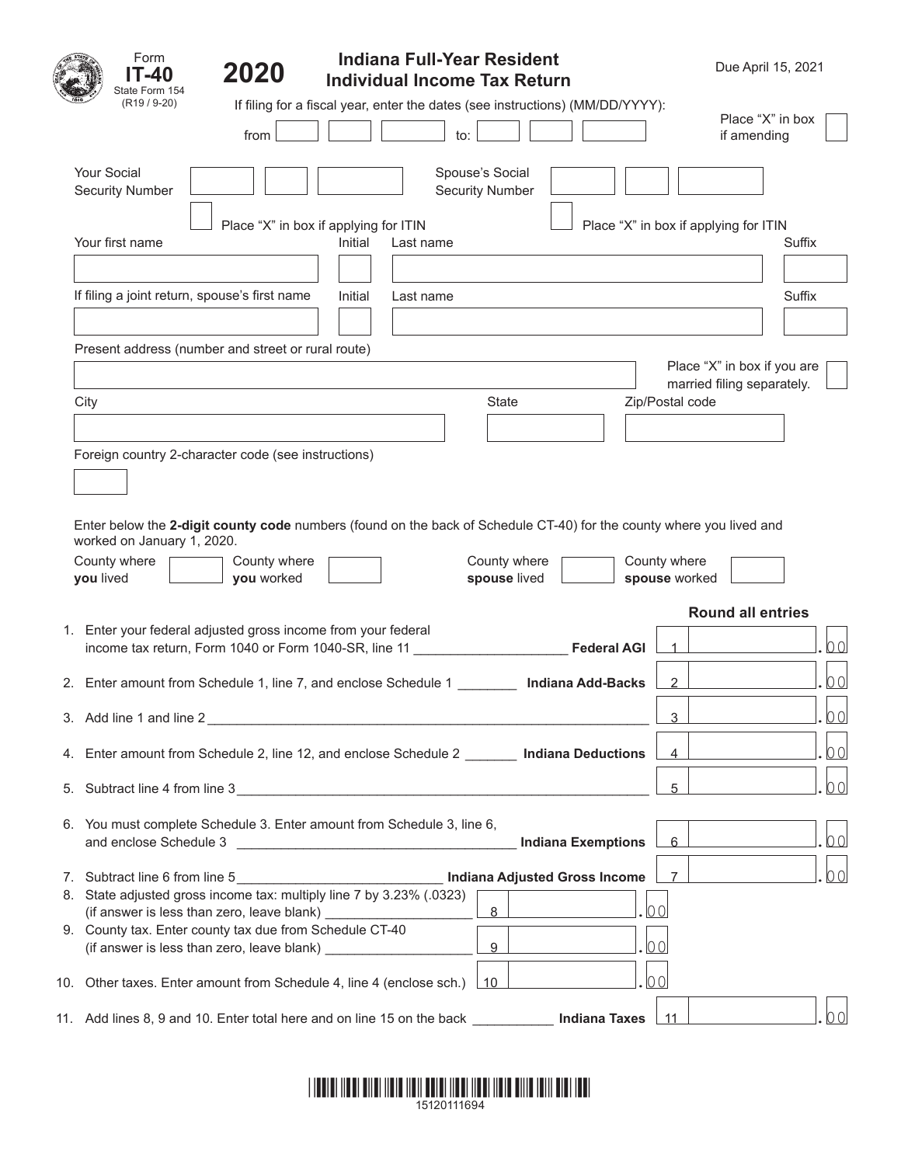|    | Form<br>-40<br>State Form 154                           | 2020                                                                                                          | <b>Indiana Full-Year Resident</b><br><b>Individual Income Tax Return</b>                                             |                                           | Due April 15, 2021                    |                                                           |        |
|----|---------------------------------------------------------|---------------------------------------------------------------------------------------------------------------|----------------------------------------------------------------------------------------------------------------------|-------------------------------------------|---------------------------------------|-----------------------------------------------------------|--------|
|    | $(R19/9-20)$                                            | from                                                                                                          | If filing for a fiscal year, enter the dates (see instructions) (MM/DD/YYYY):<br>$\mathsf{to}$ :                     |                                           |                                       | Place "X" in box<br>if amending                           |        |
|    | <b>Your Social</b><br><b>Security Number</b>            |                                                                                                               |                                                                                                                      | Spouse's Social<br><b>Security Number</b> |                                       |                                                           |        |
|    | Your first name                                         |                                                                                                               | Place "X" in box if applying for ITIN<br>Initial<br>Last name                                                        |                                           | Place "X" in box if applying for ITIN |                                                           | Suffix |
|    |                                                         | If filing a joint return, spouse's first name                                                                 | Initial<br>Last name                                                                                                 |                                           |                                       |                                                           | Suffix |
|    | City                                                    | Present address (number and street or rural route)                                                            |                                                                                                                      | State                                     | Zip/Postal code                       | Place "X" in box if you are<br>married filing separately. |        |
|    |                                                         | Foreign country 2-character code (see instructions)                                                           | Enter below the 2-digit county code numbers (found on the back of Schedule CT-40) for the county where you lived and |                                           |                                       |                                                           |        |
|    | worked on January 1, 2020.<br>County where<br>you lived | County where<br>you worked                                                                                    |                                                                                                                      | County where<br>spouse lived              | County where<br>spouse worked         |                                                           |        |
|    |                                                         |                                                                                                               |                                                                                                                      |                                           |                                       | <b>Round all entries</b>                                  |        |
|    |                                                         | 1. Enter your federal adjusted gross income from your federal                                                 | income tax return, Form 1040 or Form 1040-SR, line 11                                                                |                                           | <b>Federal AGI</b>                    |                                                           | 00     |
|    |                                                         |                                                                                                               | 2. Enter amount from Schedule 1, line 7, and enclose Schedule 1                                                      | <b>Indiana Add-Backs</b>                  | $\overline{2}$                        |                                                           | 00     |
|    | 3. Add line 1 and line 2                                |                                                                                                               |                                                                                                                      |                                           | 3                                     |                                                           | 00     |
| 4. |                                                         |                                                                                                               | Enter amount from Schedule 2, line 12, and enclose Schedule 2 <b>[2006]</b> Indiana Deductions                       |                                           | $\overline{4}$                        |                                                           | 00     |
| 5. |                                                         |                                                                                                               | Subtract line 4 from line 3                                                                                          |                                           | 5                                     |                                                           | 00     |
|    | and enclose Schedule 3                                  |                                                                                                               | 6. You must complete Schedule 3. Enter amount from Schedule 3, line 6,                                               | <b>Indiana Exemptions</b>                 | 6                                     |                                                           | 00     |
|    | 7. Subtract line 6 from line 5                          |                                                                                                               | <b>Indiana Adjusted Gross Income</b><br>8. State adjusted gross income tax: multiply line 7 by 3.23% (.0323)         | 8 <sup>2</sup>                            | 7<br>00                               |                                                           | 00     |
|    |                                                         | 9. County tax. Enter county tax due from Schedule CT-40<br>(if answer is less than zero, leave blank) _______ |                                                                                                                      | 9                                         | 00                                    |                                                           |        |
|    |                                                         |                                                                                                               | 10. Other taxes. Enter amount from Schedule 4, line 4 (enclose sch.)                                                 | ∣ 10                                      | 00                                    |                                                           |        |
|    |                                                         |                                                                                                               | 11. Add lines 8, 9 and 10. Enter total here and on line 15 on the back _________                                     |                                           | Indiana Taxes<br>11                   |                                                           | 00     |

## \*15120111694\*